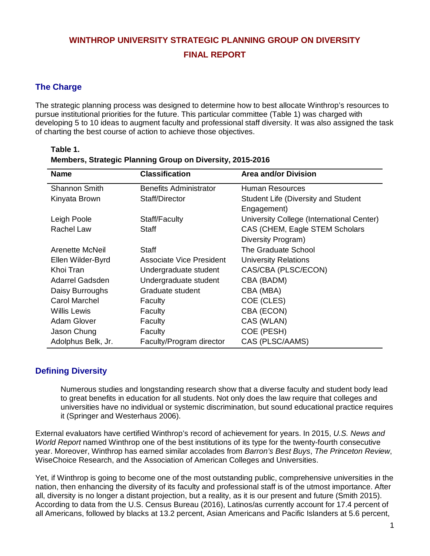# **WINTHROP UNIVERSITY STRATEGIC PLANNING GROUP ON DIVERSITY FINAL REPORT**

# **The Charge**

**Table 1.**

The strategic planning process was designed to determine how to best allocate Winthrop's resources to pursue institutional priorities for the future. This particular committee (Table 1) was charged with developing 5 to 10 ideas to augment faculty and professional staff diversity. It was also assigned the task of charting the best course of action to achieve those objectives.

| <b>Name</b>        | <b>Classification</b>           | <b>Area and/or Division</b>                |
|--------------------|---------------------------------|--------------------------------------------|
| Shannon Smith      | <b>Benefits Administrator</b>   | Human Resources                            |
| Kinyata Brown      | Staff/Director                  | <b>Student Life (Diversity and Student</b> |
|                    |                                 | Engagement)                                |
| Leigh Poole        | Staff/Faculty                   | University College (International Center)  |
| Rachel Law         | Staff                           | CAS (CHEM, Eagle STEM Scholars             |
|                    |                                 | Diversity Program)                         |
| Arenette McNeil    | Staff                           | The Graduate School                        |
| Ellen Wilder-Byrd  | <b>Associate Vice President</b> | <b>University Relations</b>                |
| Khoi Tran          | Undergraduate student           | CAS/CBA (PLSC/ECON)                        |
| Adarrel Gadsden    | Undergraduate student           | CBA (BADM)                                 |
| Daisy Burroughs    | Graduate student                | CBA (MBA)                                  |
| Carol Marchel      | Faculty                         | COE (CLES)                                 |
| Willis Lewis       | Faculty                         | CBA (ECON)                                 |
| <b>Adam Glover</b> | Faculty                         | CAS (WLAN)                                 |
| Jason Chung        | Faculty                         | COE (PESH)                                 |
| Adolphus Belk, Jr. | Faculty/Program director        | CAS (PLSC/AAMS)                            |

| Table I. |                                                           |  |  |  |
|----------|-----------------------------------------------------------|--|--|--|
|          | Members, Strategic Planning Group on Diversity, 2015-2016 |  |  |  |

# **Defining Diversity**

Numerous studies and longstanding research show that a diverse faculty and student body lead to great benefits in education for all students. Not only does the law require that colleges and universities have no individual or systemic discrimination, but sound educational practice requires it (Springer and Westerhaus 2006).

External evaluators have certified Winthrop's record of achievement for years. In 2015, *U.S. News and World Report* named Winthrop one of the best institutions of its type for the twenty-fourth consecutive year. Moreover, Winthrop has earned similar accolades from *Barron's Best Buys*, *The Princeton Review*, WiseChoice Research, and the Association of American Colleges and Universities.

Yet, if Winthrop is going to become one of the most outstanding public, comprehensive universities in the nation, then enhancing the diversity of its faculty and professional staff is of the utmost importance. After all, diversity is no longer a distant projection, but a reality, as it is our present and future (Smith 2015). According to data from the U.S. Census Bureau (2016), Latinos/as currently account for 17.4 percent of all Americans, followed by blacks at 13.2 percent, Asian Americans and Pacific Islanders at 5.6 percent,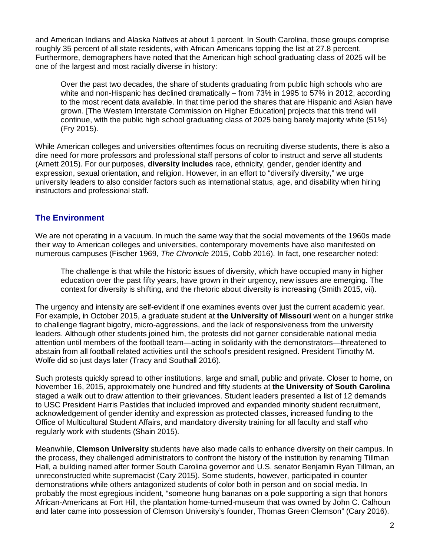and American Indians and Alaska Natives at about 1 percent. In South Carolina, those groups comprise roughly 35 percent of all state residents, with African Americans topping the list at 27.8 percent. Furthermore, demographers have noted that the American high school graduating class of 2025 will be one of the largest and most racially diverse in history:

Over the past two decades, the share of students graduating from public high schools who are white and non-Hispanic has declined dramatically – from 73% in 1995 to 57% in 2012, according to the most recent data available. In that time period the shares that are Hispanic and Asian have grown. [The Western Interstate Commission on Higher Education] projects that this trend will continue, with the public high school graduating class of 2025 being barely majority white (51%) (Fry 2015).

While American colleges and universities oftentimes focus on recruiting diverse students, there is also a dire need for more professors and professional staff persons of color to instruct and serve all students (Arnett 2015). For our purposes, **diversity includes** race, ethnicity, gender, gender identity and expression, sexual orientation, and religion. However, in an effort to "diversify diversity," we urge university leaders to also consider factors such as international status, age, and disability when hiring instructors and professional staff.

## **The Environment**

We are not operating in a vacuum. In much the same way that the social movements of the 1960s made their way to American colleges and universities, contemporary movements have also manifested on numerous campuses (Fischer 1969, *The Chronicle* 2015, Cobb 2016). In fact, one researcher noted:

The challenge is that while the historic issues of diversity, which have occupied many in higher education over the past fifty years, have grown in their urgency, new issues are emerging. The context for diversity is shifting, and the rhetoric about diversity is increasing (Smith 2015, vii).

The urgency and intensity are self-evident if one examines events over just the current academic year. For example, in October 2015, a graduate student at **the University of Missouri** went on a hunger strike to challenge flagrant bigotry, micro-aggressions, and the lack of responsiveness from the university leaders. Although other students joined him, the protests did not garner considerable national media attention until members of the football team—acting in solidarity with the demonstrators—threatened to abstain from all football related activities until the school's president resigned. President Timothy M. Wolfe did so just days later (Tracy and Southall 2016).

Such protests quickly spread to other institutions, large and small, public and private. Closer to home, on November 16, 2015, approximately one hundred and fifty students at **the University of South Carolina** staged a walk out to draw attention to their grievances. Student leaders presented a list of 12 demands to USC President Harris Pastides that included improved and expanded minority student recruitment, acknowledgement of gender identity and expression as protected classes, increased funding to the Office of Multicultural Student Affairs, and mandatory diversity training for all faculty and staff who regularly work with students (Shain 2015).

Meanwhile, **Clemson University** students have also made calls to enhance diversity on their campus. In the process, they challenged administrators to confront the history of the institution by renaming Tillman Hall, a building named after former South Carolina governor and U.S. senator Benjamin Ryan Tillman, an unreconstructed white supremacist (Cary 2015). Some students, however, participated in counter demonstrations while others antagonized students of color both in person and on social media. In probably the most egregious incident, "someone hung bananas on a pole supporting a sign that honors African-Americans at Fort Hill, the plantation home-turned-museum that was owned by John C. Calhoun and later came into possession of Clemson University's founder, Thomas Green Clemson" (Cary 2016).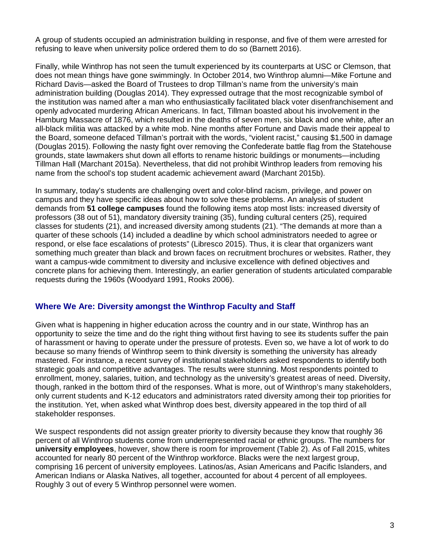A group of students occupied an administration building in response, and five of them were arrested for refusing to leave when university police ordered them to do so (Barnett 2016).

Finally, while Winthrop has not seen the tumult experienced by its counterparts at USC or Clemson, that does not mean things have gone swimmingly. In October 2014, two Winthrop alumni—Mike Fortune and Richard Davis—asked the Board of Trustees to drop Tillman's name from the university's main administration building (Douglas 2014). They expressed outrage that the most recognizable symbol of the institution was named after a man who enthusiastically facilitated black voter disenfranchisement and openly advocated murdering African Americans. In fact, Tillman boasted about his involvement in the Hamburg Massacre of 1876, which resulted in the deaths of seven men, six black and one white, after an all-black militia was attacked by a white mob. Nine months after Fortune and Davis made their appeal to the Board, someone defaced Tillman's portrait with the words, "violent racist," causing \$1,500 in damage (Douglas 2015). Following the nasty fight over removing the Confederate battle flag from the Statehouse grounds, state lawmakers shut down all efforts to rename historic buildings or monuments—including Tillman Hall (Marchant 2015a). Nevertheless, that did not prohibit Winthrop leaders from removing his name from the school's top student academic achievement award (Marchant 2015b).

In summary, today's students are challenging overt and color-blind racism, privilege, and power on campus and they have specific ideas about how to solve these problems. An analysis of student demands from **51 college campuses** found the following items atop most lists: increased diversity of professors (38 out of 51), mandatory diversity training (35), funding cultural centers (25), required classes for students (21), and increased diversity among students (21). "The demands at more than a quarter of these schools (14) included a deadline by which school administrators needed to agree or respond, or else face escalations of protests" (Libresco 2015). Thus, it is clear that organizers want something much greater than black and brown faces on recruitment brochures or websites. Rather, they want a campus-wide commitment to diversity and inclusive excellence with defined objectives and concrete plans for achieving them. Interestingly, an earlier generation of students articulated comparable requests during the 1960s (Woodyard 1991, Rooks 2006).

## **Where We Are: Diversity amongst the Winthrop Faculty and Staff**

Given what is happening in higher education across the country and in our state, Winthrop has an opportunity to seize the time and do the right thing without first having to see its students suffer the pain of harassment or having to operate under the pressure of protests. Even so, we have a lot of work to do because so many friends of Winthrop seem to think diversity is something the university has already mastered. For instance, a recent survey of institutional stakeholders asked respondents to identify both strategic goals and competitive advantages. The results were stunning. Most respondents pointed to enrollment, money, salaries, tuition, and technology as the university's greatest areas of need. Diversity, though, ranked in the bottom third of the responses. What is more, out of Winthrop's many stakeholders, only current students and K-12 educators and administrators rated diversity among their top priorities for the institution. Yet, when asked what Winthrop does best, diversity appeared in the top third of all stakeholder responses.

We suspect respondents did not assign greater priority to diversity because they know that roughly 36 percent of all Winthrop students come from underrepresented racial or ethnic groups. The numbers for **university employees**, however, show there is room for improvement (Table 2). As of Fall 2015, whites accounted for nearly 80 percent of the Winthrop workforce. Blacks were the next largest group, comprising 16 percent of university employees. Latinos/as, Asian Americans and Pacific Islanders, and American Indians or Alaska Natives, all together, accounted for about 4 percent of all employees. Roughly 3 out of every 5 Winthrop personnel were women.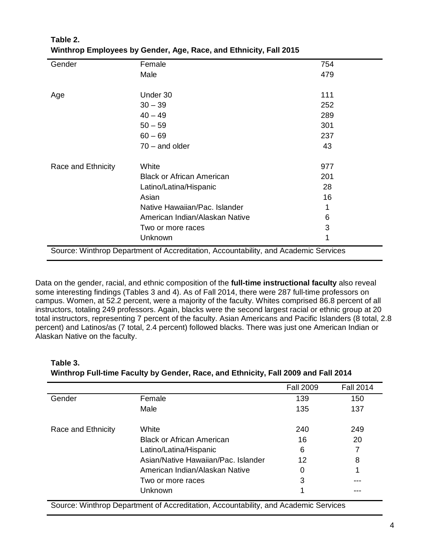| Gender                                                                              | Female                           | 754 |  |  |  |
|-------------------------------------------------------------------------------------|----------------------------------|-----|--|--|--|
|                                                                                     | Male                             | 479 |  |  |  |
|                                                                                     |                                  |     |  |  |  |
| Age                                                                                 | Under 30                         | 111 |  |  |  |
|                                                                                     | $30 - 39$                        | 252 |  |  |  |
|                                                                                     | $40 - 49$                        | 289 |  |  |  |
|                                                                                     | $50 - 59$                        | 301 |  |  |  |
|                                                                                     | $60 - 69$                        | 237 |  |  |  |
|                                                                                     | $70 -$ and older                 | 43  |  |  |  |
| Race and Ethnicity                                                                  | White                            | 977 |  |  |  |
|                                                                                     | <b>Black or African American</b> | 201 |  |  |  |
|                                                                                     | Latino/Latina/Hispanic           | 28  |  |  |  |
|                                                                                     | Asian                            | 16  |  |  |  |
|                                                                                     | Native Hawaiian/Pac. Islander    |     |  |  |  |
|                                                                                     | American Indian/Alaskan Native   | 6   |  |  |  |
|                                                                                     | Two or more races                | 3   |  |  |  |
|                                                                                     | Unknown                          | 1   |  |  |  |
| Source: Winthrop Department of Accreditation, Accountability, and Academic Services |                                  |     |  |  |  |

# **Table 2. Winthrop Employees by Gender, Age, Race, and Ethnicity, Fall 2015**

Data on the gender, racial, and ethnic composition of the **full-time instructional faculty** also reveal some interesting findings (Tables 3 and 4). As of Fall 2014, there were 287 full-time professors on campus. Women, at 52.2 percent, were a majority of the faculty. Whites comprised 86.8 percent of all instructors, totaling 249 professors. Again, blacks were the second largest racial or ethnic group at 20 total instructors, representing 7 percent of the faculty. Asian Americans and Pacific Islanders (8 total, 2.8 percent) and Latinos/as (7 total, 2.4 percent) followed blacks. There was just one American Indian or Alaskan Native on the faculty.

# **Table 3. Winthrop Full-time Faculty by Gender, Race, and Ethnicity, Fall 2009 and Fall 2014**

|                    |                                     | <b>Fall 2009</b> | <b>Fall 2014</b> |
|--------------------|-------------------------------------|------------------|------------------|
| Gender             | Female                              | 139              | 150              |
|                    | Male                                | 135              | 137              |
| Race and Ethnicity | White                               | 240              | 249              |
|                    | <b>Black or African American</b>    | 16               | 20               |
|                    | Latino/Latina/Hispanic              | 6                |                  |
|                    | Asian/Native Hawaiian/Pac. Islander | 12               | 8                |
|                    | American Indian/Alaskan Native      | 0                | 1                |
|                    | Two or more races                   | 3                |                  |
|                    | Unknown                             | 4                |                  |

Source: Winthrop Department of Accreditation, Accountability, and Academic Services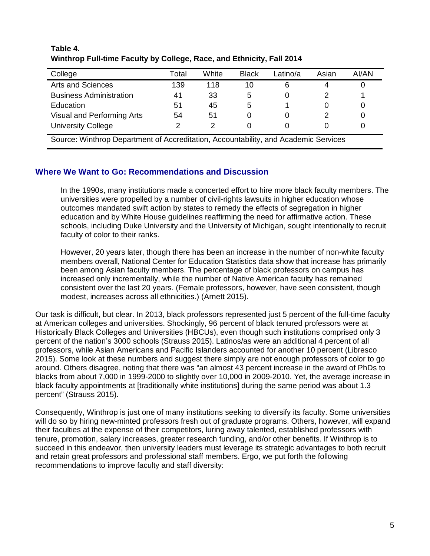| Total | White | <b>Black</b> | _atino/a | Asian | AI/AN |
|-------|-------|--------------|----------|-------|-------|
| 139   | 118   | 10           | 6        |       |       |
| 41    | 33    | 5            |          |       |       |
| 51    | 45    | 5            |          | O     |       |
| 54    | 51    |              |          |       |       |
|       |       |              |          |       |       |
|       |       |              |          |       |       |

## **Table 4. Winthrop Full-time Faculty by College, Race, and Ethnicity, Fall 2014**

Source: Winthrop Department of Accreditation, Accountability, and Academic Services

## **Where We Want to Go: Recommendations and Discussion**

In the 1990s, many institutions made a concerted effort to hire more black faculty members. The universities were propelled by a number of civil-rights lawsuits in higher education whose outcomes mandated swift action by states to remedy the effects of segregation in higher education and by White House guidelines reaffirming the need for affirmative action. These schools, including Duke University and the University of Michigan, sought intentionally to recruit faculty of color to their ranks.

However, 20 years later, though there has been an increase in the number of non-white faculty members overall, National Center for Education Statistics data show that increase has primarily been among Asian faculty members. The percentage of black professors on campus has increased only incrementally, while the number of Native American faculty has remained consistent over the last 20 years. (Female professors, however, have seen consistent, though modest, increases across all ethnicities.) (Arnett 2015).

Our task is difficult, but clear. In 2013, black professors represented just 5 percent of the full-time faculty at American colleges and universities. Shockingly, 96 percent of black tenured professors were at Historically Black Colleges and Universities (HBCUs), even though such institutions comprised only 3 percent of the nation's 3000 schools (Strauss 2015). Latinos/as were an additional 4 percent of all professors, while Asian Americans and Pacific Islanders accounted for another 10 percent (Libresco 2015). Some look at these numbers and suggest there simply are not enough professors of color to go around. Others disagree, noting that there was "an almost 43 percent increase in the award of PhDs to blacks from about 7,000 in 1999-2000 to slightly over 10,000 in 2009-2010. Yet, the average increase in black faculty appointments at [traditionally white institutions] during the same period was about 1.3 percent" (Strauss 2015).

Consequently, Winthrop is just one of many institutions seeking to diversify its faculty. Some universities will do so by hiring new-minted professors fresh out of graduate programs. Others, however, will expand their faculties at the expense of their competitors, luring away talented, established professors with tenure, promotion, salary increases, greater research funding, and/or other benefits. If Winthrop is to succeed in this endeavor, then university leaders must leverage its strategic advantages to both recruit and retain great professors and professional staff members. Ergo, we put forth the following recommendations to improve faculty and staff diversity: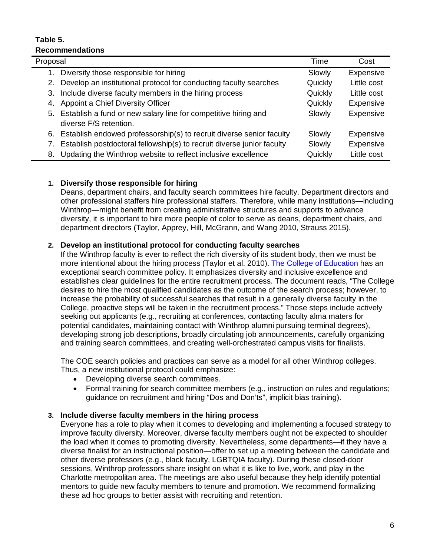#### **Table 5. Recommendations**

| Proposal |                                                                         | Time    | Cost        |
|----------|-------------------------------------------------------------------------|---------|-------------|
|          | 1. Diversify those responsible for hiring                               | Slowly  | Expensive   |
|          | 2. Develop an institutional protocol for conducting faculty searches    | Quickly | Little cost |
| З.       | Include diverse faculty members in the hiring process                   | Quickly | Little cost |
| 4.       | Appoint a Chief Diversity Officer                                       | Quickly | Expensive   |
|          | 5. Establish a fund or new salary line for competitive hiring and       | Slowly  | Expensive   |
|          | diverse F/S retention.                                                  |         |             |
|          | 6. Establish endowed professorship(s) to recruit diverse senior faculty | Slowly  | Expensive   |
|          | Establish postdoctoral fellowship(s) to recruit diverse junior faculty  | Slowly  | Expensive   |
| 8.       | Updating the Winthrop website to reflect inclusive excellence           | Quickly | Little cost |

## **1. Diversify those responsible for hiring**

Deans, department chairs, and faculty search committees hire faculty. Department directors and other professional staffers hire professional staffers. Therefore, while many institutions—including Winthrop—might benefit from creating administrative structures and supports to advance diversity, it is important to hire more people of color to serve as deans, department chairs, and department directors (Taylor, Apprey, Hill, McGrann, and Wang 2010, Strauss 2015).

## **2. Develop an institutional protocol for conducting faculty searches**

If the Winthrop faculty is ever to reflect the rich diversity of its student body, then we must be more intentional about the hiring process (Taylor et al. 2010). [The College of Education](http://www.winthrop.edu/uploadedFiles/coe/FacultyManual20122013FINAL2.pdf) has an exceptional search committee policy. It emphasizes diversity and inclusive excellence and establishes clear guidelines for the entire recruitment process. The document reads, "The College desires to hire the most qualified candidates as the outcome of the search process; however, to increase the probability of successful searches that result in a generally diverse faculty in the College, proactive steps will be taken in the recruitment process." Those steps include actively seeking out applicants (e.g., recruiting at conferences, contacting faculty alma maters for potential candidates, maintaining contact with Winthrop alumni pursuing terminal degrees), developing strong job descriptions, broadly circulating job announcements, carefully organizing and training search committees, and creating well-orchestrated campus visits for finalists.

The COE search policies and practices can serve as a model for all other Winthrop colleges. Thus, a new institutional protocol could emphasize:

- Developing diverse search committees.
- Formal training for search committee members (e.g., instruction on rules and regulations; guidance on recruitment and hiring "Dos and Don'ts", implicit bias training).

## **3. Include diverse faculty members in the hiring process**

Everyone has a role to play when it comes to developing and implementing a focused strategy to improve faculty diversity. Moreover, diverse faculty members ought not be expected to shoulder the load when it comes to promoting diversity. Nevertheless, some departments—if they have a diverse finalist for an instructional position—offer to set up a meeting between the candidate and other diverse professors (e.g., black faculty, LGBTQIA faculty). During these closed-door sessions, Winthrop professors share insight on what it is like to live, work, and play in the Charlotte metropolitan area. The meetings are also useful because they help identify potential mentors to guide new faculty members to tenure and promotion. We recommend formalizing these ad hoc groups to better assist with recruiting and retention.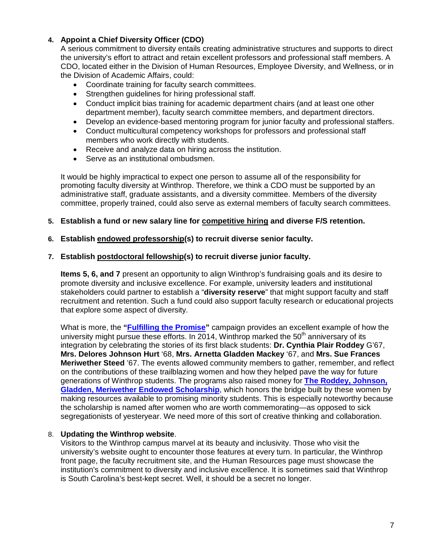## **4. Appoint a Chief Diversity Officer (CDO)**

A serious commitment to diversity entails creating administrative structures and supports to direct the university's effort to attract and retain excellent professors and professional staff members. A CDO, located either in the Division of Human Resources, Employee Diversity, and Wellness, or in the Division of Academic Affairs, could:

- Coordinate training for faculty search committees.
- Strengthen guidelines for hiring professional staff.
- Conduct implicit bias training for academic department chairs (and at least one other department member), faculty search committee members, and department directors.
- Develop an evidence-based mentoring program for junior faculty and professional staffers.
- Conduct multicultural competency workshops for professors and professional staff members who work directly with students.
- Receive and analyze data on hiring across the institution.
- Serve as an institutional ombudsmen.

It would be highly impractical to expect one person to assume all of the responsibility for promoting faculty diversity at Winthrop. Therefore, we think a CDO must be supported by an administrative staff, graduate assistants, and a diversity committee. Members of the diversity committee, properly trained, could also serve as external members of faculty search committees.

#### **5. Establish a fund or new salary line for competitive hiring and diverse F/S retention.**

#### **6. Establish endowed professorship(s) to recruit diverse senior faculty.**

#### **7. Establish postdoctoral fellowship(s) to recruit diverse junior faculty.**

**Items 5, 6, and 7** present an opportunity to align Winthrop's fundraising goals and its desire to promote diversity and inclusive excellence. For example, university leaders and institutional stakeholders could partner to establish a "**diversity reserve**" that might support faculty and staff recruitment and retention. Such a fund could also support faculty research or educational projects that explore some aspect of diversity.

What is more, the **["Fulfilling the Promise"](http://www.winthrop.edu/integration/default.aspx)** campaign provides an excellent example of how the university might pursue these efforts. In 2014, Winthrop marked the  $50<sup>th</sup>$  anniversary of its integration by celebrating the stories of its first black students: **Dr. Cynthia Plair Roddey** G'67, **Mrs. Delores Johnson Hurt** '68, **Mrs. Arnetta Gladden Mackey** '67, and **Mrs. Sue Frances Meriwether Steed** '67. The events allowed community members to gather, remember, and reflect on the contributions of these trailblazing women and how they helped pave the way for future generations of Winthrop students. The programs also raised money for **[The Roddey, Johnson,](http://www.winthrop.edu/integration/default.aspx?id=36969)  [Gladden, Meriwether Endowed Scholarship](http://www.winthrop.edu/integration/default.aspx?id=36969)**, which honors the bridge built by these women by making resources available to promising minority students. This is especially noteworthy because the scholarship is named after women who are worth commemorating—as opposed to sick segregationists of yesteryear. We need more of this sort of creative thinking and collaboration.

#### 8. **Updating the Winthrop website**.

Visitors to the Winthrop campus marvel at its beauty and inclusivity. Those who visit the university's website ought to encounter those features at every turn. In particular, the Winthrop front page, the faculty recruitment site, and the Human Resources page must showcase the institution's commitment to diversity and inclusive excellence. It is sometimes said that Winthrop is South Carolina's best-kept secret. Well, it should be a secret no longer.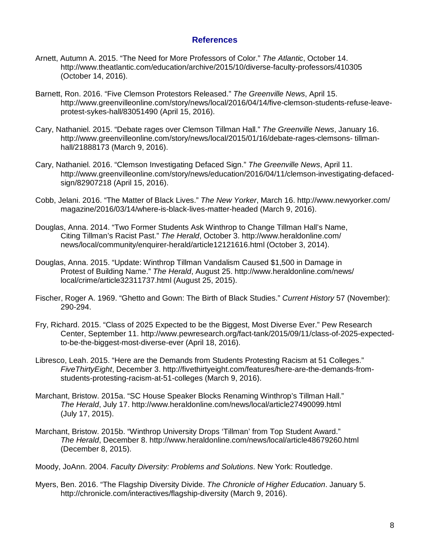## **References**

- Arnett, Autumn A. 2015. "The Need for More Professors of Color." *The Atlantic*, October 14. http://www.theatlantic.com/education/archive/2015/10/diverse-faculty-professors/410305 (October 14, 2016).
- Barnett, Ron. 2016. "Five Clemson Protestors Released." *The Greenville News*, April 15. http://www.greenvilleonline.com/story/news/local/2016/04/14/five-clemson-students-refuse-leaveprotest-sykes-hall/83051490 (April 15, 2016).
- Cary, Nathaniel. 2015. "Debate rages over Clemson Tillman Hall." *The Greenville News*, January 16. http://www.greenvilleonline.com/story/news/local/2015/01/16/debate-rages-clemsons- tillmanhall/21888173 (March 9, 2016).
- Cary, Nathaniel. 2016. "Clemson Investigating Defaced Sign." *The Greenville News*, April 11. http://www.greenvilleonline.com/story/news/education/2016/04/11/clemson-investigating-defacedsign/82907218 (April 15, 2016).
- Cobb, Jelani. 2016. "The Matter of Black Lives." *The New Yorker*, March 16. http://www.newyorker.com/ magazine/2016/03/14/where-is-black-lives-matter-headed (March 9, 2016).
- Douglas, Anna. 2014. "Two Former Students Ask Winthrop to Change Tillman Hall's Name, Citing Tillman's Racist Past." *The Herald*, October 3. http://www.heraldonline.com/ news/local/community/enquirer-herald/article12121616.html (October 3, 2014).
- Douglas, Anna. 2015. "Update: Winthrop Tillman Vandalism Caused \$1,500 in Damage in Protest of Building Name." *The Herald*, August 25. http://www.heraldonline.com/news/ local/crime/article32311737.html (August 25, 2015).
- Fischer, Roger A. 1969. "Ghetto and Gown: The Birth of Black Studies." *Current History* 57 (November): 290-294.
- Fry, Richard. 2015. "Class of 2025 Expected to be the Biggest, Most Diverse Ever." Pew Research Center, September 11. http://www.pewresearch.org/fact-tank/2015/09/11/class-of-2025-expectedto-be-the-biggest-most-diverse-ever (April 18, 2016).
- Libresco, Leah. 2015. "Here are the Demands from Students Protesting Racism at 51 Colleges." *FiveThirtyEight*, December 3. http://fivethirtyeight.com/features/here-are-the-demands-fromstudents-protesting-racism-at-51-colleges (March 9, 2016).
- Marchant, Bristow. 2015a. "SC House Speaker Blocks Renaming Winthrop's Tillman Hall." *The Herald*, July 17. http://www.heraldonline.com/news/local/article27490099.html (July 17, 2015).
- Marchant, Bristow. 2015b. "Winthrop University Drops 'Tillman' from Top Student Award." *The Herald*, December 8. http://www.heraldonline.com/news/local/article48679260.html (December 8, 2015).
- Moody, JoAnn. 2004. *Faculty Diversity: Problems and Solutions*. New York: Routledge.
- Myers, Ben. 2016. "The Flagship Diversity Divide. *The Chronicle of Higher Education*. January 5. http://chronicle.com/interactives/flagship-diversity (March 9, 2016).